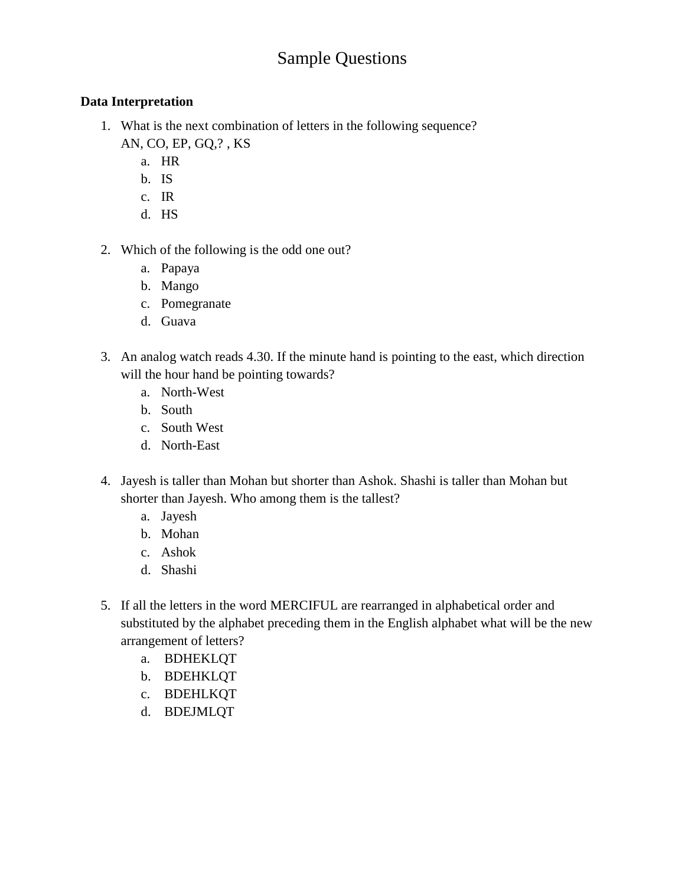# Sample Questions

### **Data Interpretation**

- 1. What is the next combination of letters in the following sequence? AN, CO, EP, GQ,? , KS
	- a. HR
	- b. IS
	- c. IR
	- d. HS
- 2. Which of the following is the odd one out?
	- a. Papaya
	- b. Mango
	- c. Pomegranate
	- d. Guava
- 3. An analog watch reads 4.30. If the minute hand is pointing to the east, which direction will the hour hand be pointing towards?
	- a. North-West
	- b. South
	- c. South West
	- d. North-East
- 4. Jayesh is taller than Mohan but shorter than Ashok. Shashi is taller than Mohan but shorter than Jayesh. Who among them is the tallest?
	- a. Jayesh
	- b. Mohan
	- c. Ashok
	- d. Shashi
- 5. If all the letters in the word MERCIFUL are rearranged in alphabetical order and substituted by the alphabet preceding them in the English alphabet what will be the new arrangement of letters?
	- a. BDHEKLQT
	- b. BDEHKLQT
	- c. BDEHLKQT
	- d. BDEJMLQT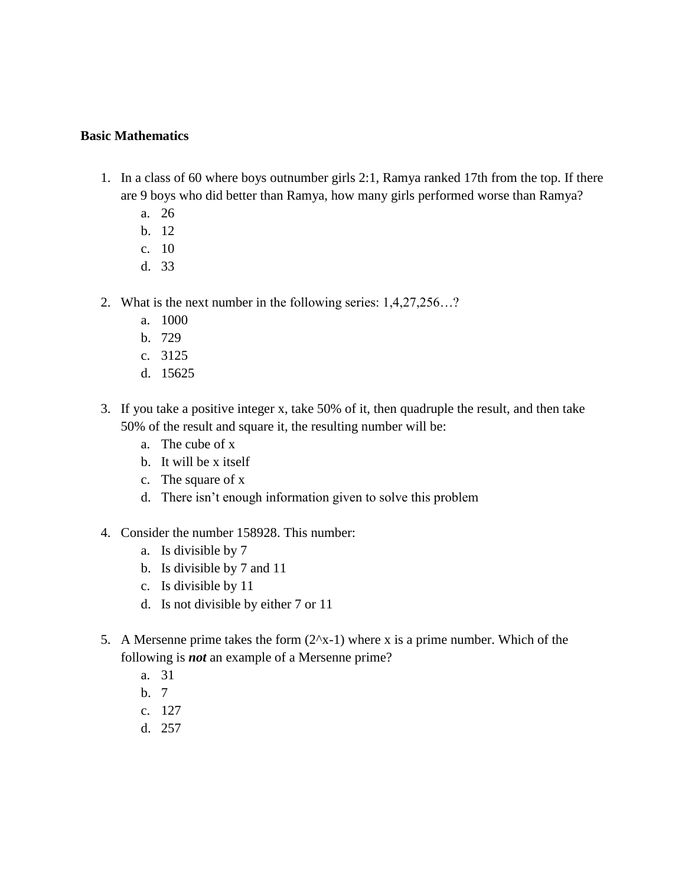#### **Basic Mathematics**

- 1. In a class of 60 where boys outnumber girls 2:1, Ramya ranked 17th from the top. If there are 9 boys who did better than Ramya, how many girls performed worse than Ramya?
	- a. 26
	- b. 12
	- c. 10
	- d. 33
- 2. What is the next number in the following series: 1,4,27,256…?
	- a. 1000
	- b. 729
	- c. 3125
	- d. 15625
- 3. If you take a positive integer x, take 50% of it, then quadruple the result, and then take 50% of the result and square it, the resulting number will be:
	- a. The cube of x
	- b. It will be x itself
	- c. The square of x
	- d. There isn't enough information given to solve this problem
- 4. Consider the number 158928. This number:
	- a. Is divisible by 7
	- b. Is divisible by 7 and 11
	- c. Is divisible by 11
	- d. Is not divisible by either 7 or 11
- 5. A Mersenne prime takes the form  $(2^x-1)$  where x is a prime number. Which of the following is *not* an example of a Mersenne prime?
	- a. 31
	- b. 7
	- c. 127
	- d. 257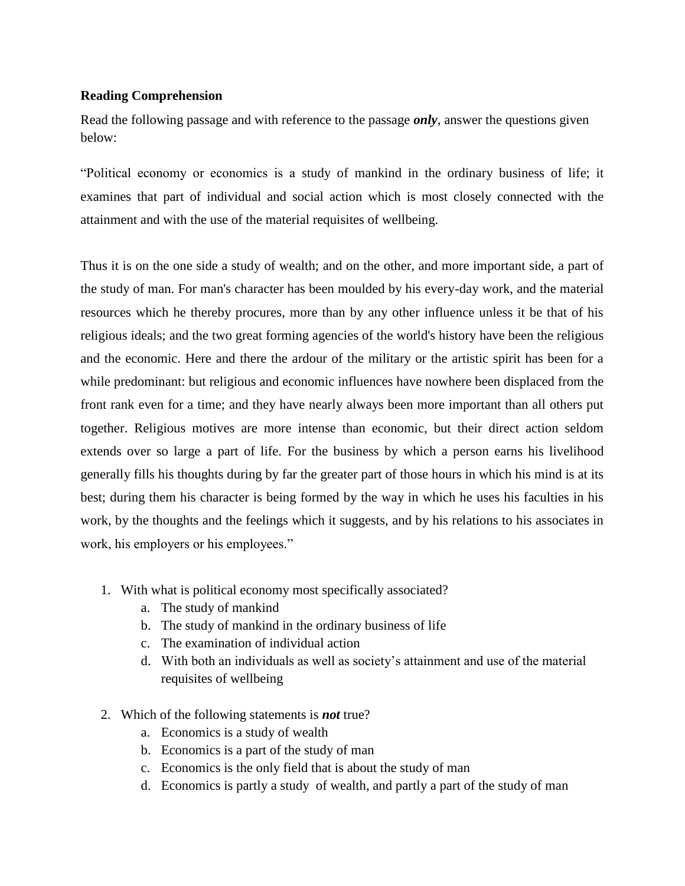#### **Reading Comprehension**

Read the following passage and with reference to the passage *only*, answer the questions given below:

"Political economy or economics is a study of mankind in the ordinary business of life; it examines that part of individual and social action which is most closely connected with the attainment and with the use of the material requisites of wellbeing.

Thus it is on the one side a study of wealth; and on the other, and more important side, a part of the study of man. For man's character has been moulded by his every-day work, and the material resources which he thereby procures, more than by any other influence unless it be that of his religious ideals; and the two great forming agencies of the world's history have been the religious and the economic. Here and there the ardour of the military or the artistic spirit has been for a while predominant: but religious and economic influences have nowhere been displaced from the front rank even for a time; and they have nearly always been more important than all others put together. Religious motives are more intense than economic, but their direct action seldom extends over so large a part of life. For the business by which a person earns his livelihood generally fills his thoughts during by far the greater part of those hours in which his mind is at its best; during them his character is being formed by the way in which he uses his faculties in his work, by the thoughts and the feelings which it suggests, and by his relations to his associates in work, his employers or his employees."

- 1. With what is political economy most specifically associated?
	- a. The study of mankind
	- b. The study of mankind in the ordinary business of life
	- c. The examination of individual action
	- d. With both an individuals as well as society's attainment and use of the material requisites of wellbeing
- 2. Which of the following statements is *not* true?
	- a. Economics is a study of wealth
	- b. Economics is a part of the study of man
	- c. Economics is the only field that is about the study of man
	- d. Economics is partly a study of wealth, and partly a part of the study of man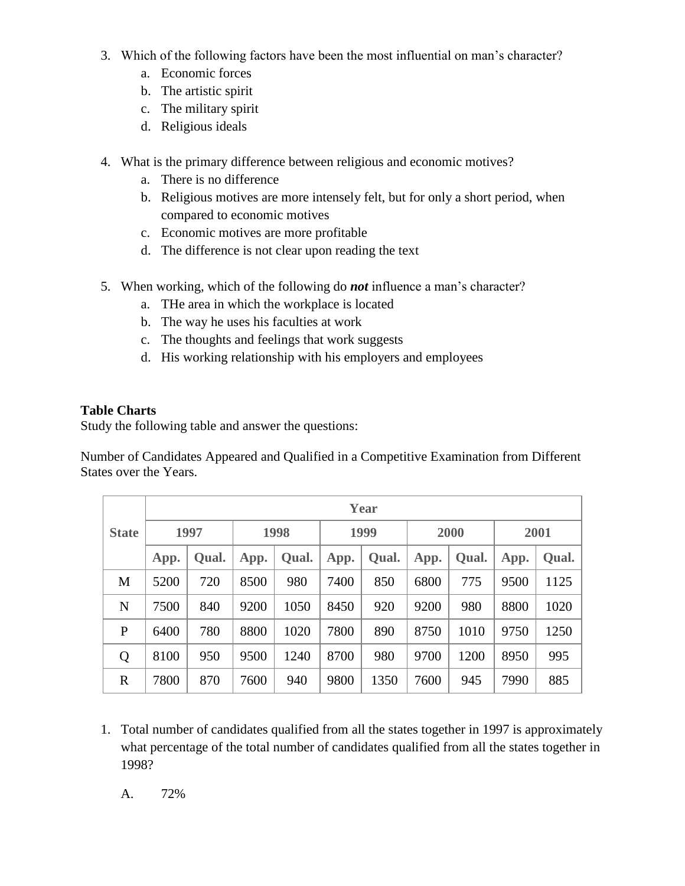- 3. Which of the following factors have been the most influential on man's character?
	- a. Economic forces
	- b. The artistic spirit
	- c. The military spirit
	- d. Religious ideals
- 4. What is the primary difference between religious and economic motives?
	- a. There is no difference
	- b. Religious motives are more intensely felt, but for only a short period, when compared to economic motives
	- c. Economic motives are more profitable
	- d. The difference is not clear upon reading the text
- 5. When working, which of the following do *not* influence a man's character?
	- a. THe area in which the workplace is located
	- b. The way he uses his faculties at work
	- c. The thoughts and feelings that work suggests
	- d. His working relationship with his employers and employees

## **Table Charts**

Study the following table and answer the questions:

Number of Candidates Appeared and Qualified in a Competitive Examination from Different States over the Years.

|              | Year |       |      |       |      |       |      |       |      |       |  |
|--------------|------|-------|------|-------|------|-------|------|-------|------|-------|--|
| <b>State</b> | 1997 |       | 1998 |       | 1999 |       | 2000 |       | 2001 |       |  |
|              | App. | Qual. | App. | Qual. | App. | Qual. | App. | Qual. | App. | Qual. |  |
| M            | 5200 | 720   | 8500 | 980   | 7400 | 850   | 6800 | 775   | 9500 | 1125  |  |
| N            | 7500 | 840   | 9200 | 1050  | 8450 | 920   | 9200 | 980   | 8800 | 1020  |  |
| P            | 6400 | 780   | 8800 | 1020  | 7800 | 890   | 8750 | 1010  | 9750 | 1250  |  |
| Q            | 8100 | 950   | 9500 | 1240  | 8700 | 980   | 9700 | 1200  | 8950 | 995   |  |
| $\mathbb{R}$ | 7800 | 870   | 7600 | 940   | 9800 | 1350  | 7600 | 945   | 7990 | 885   |  |

1. Total number of candidates qualified from all the states together in 1997 is approximately what percentage of the total number of candidates qualified from all the states together in 1998?

A. 72%